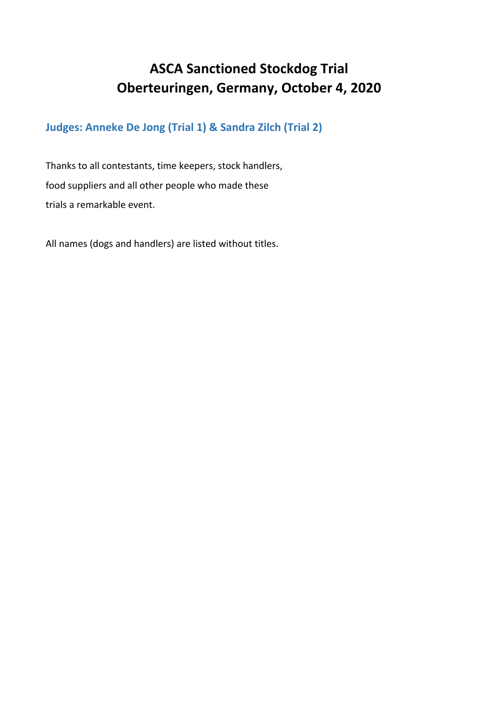#### **ASCA Sanctioned Stockdog Trial Oberteuringen, Germany, October 4, 2020**

**Judges: Anneke De Jong (Trial 1) & Sandra Zilch (Trial 2)**

Thanks to all contestants, time keepers, stock handlers, food suppliers and all other people who made these trials a remarkable event.

All names (dogs and handlers) are listed without titles.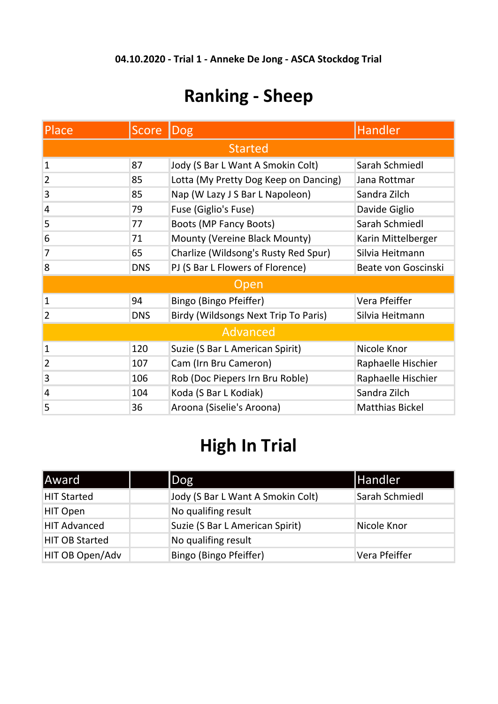# **Ranking - Sheep**

| <b>Place</b>    | Score      | Dog                                   | <b>Handler</b>         |  |  |
|-----------------|------------|---------------------------------------|------------------------|--|--|
| <b>Started</b>  |            |                                       |                        |  |  |
| $\mathbf{1}$    | 87         | Jody (S Bar L Want A Smokin Colt)     | Sarah Schmiedl         |  |  |
| $\overline{2}$  | 85         | Lotta (My Pretty Dog Keep on Dancing) | Jana Rottmar           |  |  |
| 3               | 85         | Nap (W Lazy J S Bar L Napoleon)       | Sandra Zilch           |  |  |
| 4               | 79         | Fuse (Giglio's Fuse)                  | Davide Giglio          |  |  |
| 5               | 77         | <b>Boots (MP Fancy Boots)</b>         | Sarah Schmiedl         |  |  |
| 6               | 71         | Mounty (Vereine Black Mounty)         | Karin Mittelberger     |  |  |
| 7               | 65         | Charlize (Wildsong's Rusty Red Spur)  | Silvia Heitmann        |  |  |
| 8               | <b>DNS</b> | PJ (S Bar L Flowers of Florence)      | Beate von Goscinski    |  |  |
| <b>Open</b>     |            |                                       |                        |  |  |
| $\mathbf{1}$    | 94         | Bingo (Bingo Pfeiffer)                | Vera Pfeiffer          |  |  |
| $\overline{2}$  | <b>DNS</b> | Birdy (Wildsongs Next Trip To Paris)  | Silvia Heitmann        |  |  |
| <b>Advanced</b> |            |                                       |                        |  |  |
| $\mathbf{1}$    | 120        | Suzie (S Bar L American Spirit)       | Nicole Knor            |  |  |
| $\overline{2}$  | 107        | Cam (Irn Bru Cameron)                 | Raphaelle Hischier     |  |  |
| 3               | 106        | Rob (Doc Piepers Irn Bru Roble)       | Raphaelle Hischier     |  |  |
| 4               | 104        | Koda (S Bar L Kodiak)                 | Sandra Zilch           |  |  |
| 5               | 36         | Aroona (Siselie's Aroona)             | <b>Matthias Bickel</b> |  |  |

# **High In Trial**

| <b>Award</b>          | $\log$                            | <b>Handler</b> |
|-----------------------|-----------------------------------|----------------|
| <b>HIT Started</b>    | Jody (S Bar L Want A Smokin Colt) | Sarah Schmiedl |
| HIT Open              | No qualifing result               |                |
| <b>HIT Advanced</b>   | Suzie (S Bar L American Spirit)   | Nicole Knor    |
| <b>HIT OB Started</b> | No qualifing result               |                |
| HIT OB Open/Adv       | Bingo (Bingo Pfeiffer)            | Vera Pfeiffer  |